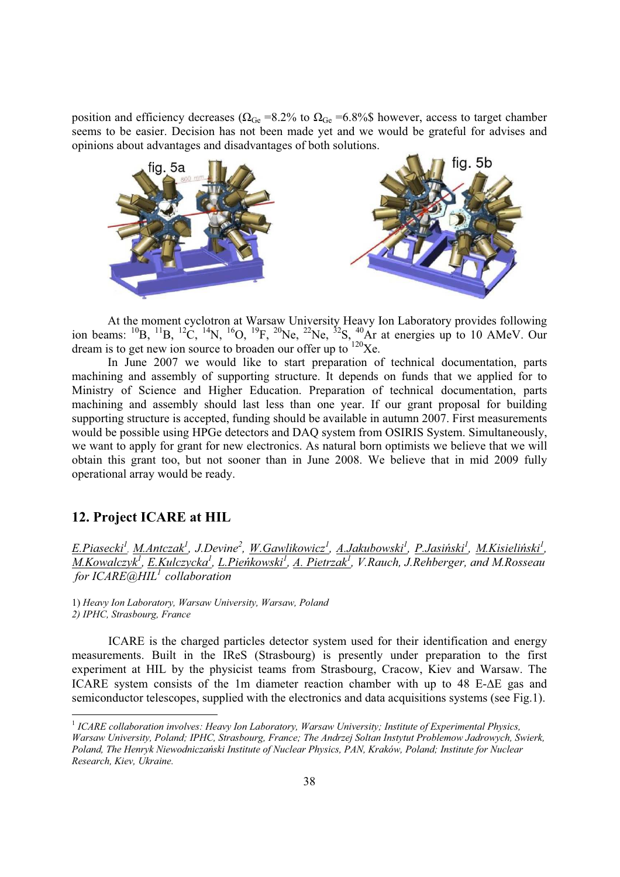position and efficiency decreases ( $\Omega_{\text{Ge}}$  =8.2% to  $\Omega_{\text{Ge}}$  =6.8%\$ however, access to target chamber seems to be easier. Decision has not been made yet and we would be grateful for advises and opinions about advantages and disadvantages of both solutions.



At the moment cyclotron at Warsaw University Heavy Ion Laboratory provides following ion beams: <sup>10</sup>B, <sup>11</sup>B, <sup>12</sup>C, <sup>14</sup>N, <sup>16</sup>O, <sup>19</sup>F, <sup>20</sup>Ne, <sup>22</sup>Ne, <sup>32</sup>S, <sup>40</sup>Ar at energies up to 10 AMeV. Our dream is to get new ion source to broaden our offer up to  $120Xe$ .

In June 2007 we would like to start preparation of technical documentation, parts machining and assembly of supporting structure. It depends on funds that we applied for to Ministry of Science and Higher Education. Preparation of technical documentation, parts machining and assembly should last less than one year. If our grant proposal for building supporting structure is accepted, funding should be available in autumn 2007. First measurements would be possible using HPGe detectors and DAQ system from OSIRIS System. Simultaneously, we want to apply for grant for new electronics. As natural born optimists we believe that we will obtain this grant too, but not sooner than in June 2008. We believe that in mid 2009 fully operational array would be ready.

## **12. Project ICARE at HIL**

<u>E.Piasecki<sup>1</sup>, M.Antczak<sup>1</sup>,</u> J.Devine<sup>2</sup>, <u>W.Gawlikowicz<sup>1</sup>, A.Jakubowski<sup>1</sup>, P.Jasiński<sup>1</sup>, <u>M.Kisieliński<sup>1</sup>,</u></u> *M.Kowalczyk<sup>1</sup> , E.Kulczycka<sup>1</sup> , L.PieĔkowski<sup>1</sup> , A. Pietrzak<sup>1</sup> , V.Rauch, J.Rehberger, and M.Rosseau for ICARE@HIL<sup>1</sup> collaboration*

1) *Heavy Ion Laboratory, Warsaw University, Warsaw, Poland 2) IPHC, Strasbourg, France*

ICARE is the charged particles detector system used for their identification and energy measurements. Built in the IReS (Strasbourg) is presently under preparation to the first experiment at HIL by the physicist teams from Strasbourg, Cracow, Kiev and Warsaw. The ICARE system consists of the 1m diameter reaction chamber with up to  $48$  E- $\Delta E$  gas and semiconductor telescopes, supplied with the electronics and data acquisitions systems (see Fig.1).

<sup>1</sup> *ICARE collaboration involves: Heavy Ion Laboratory, Warsaw University; Institute of Experimental Physics, Warsaw University, Poland; IPHC, Strasbourg, France; The Andrzej Soltan Instytut Problemow Jadrowych, Swierk, Poland, The Henryk NiewodniczaĔski Institute of Nuclear Physics, PAN, Kraków, Poland; Institute for Nuclear Research, Kiev, Ukraine.*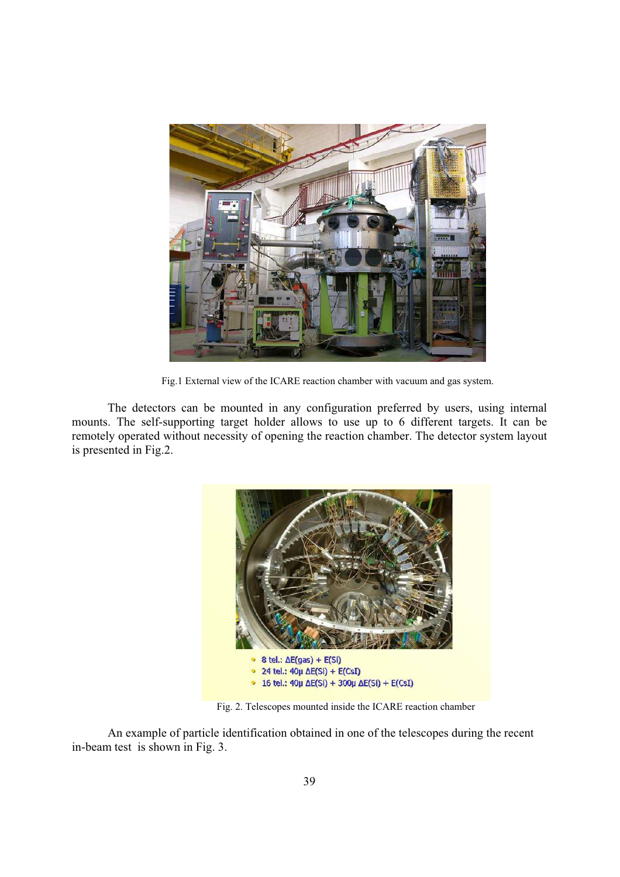

Fig.1 External view of the ICARE reaction chamber with vacuum and gas system.

The detectors can be mounted in any configuration preferred by users, using internal mounts. The self-supporting target holder allows to use up to 6 different targets. It can be remotely operated without necessity of opening the reaction chamber. The detector system layout is presented in Fig.2.



Fig. 2. Telescopes mounted inside the ICARE reaction chamber

An example of particle identification obtained in one of the telescopes during the recent in-beam test is shown in Fig. 3.